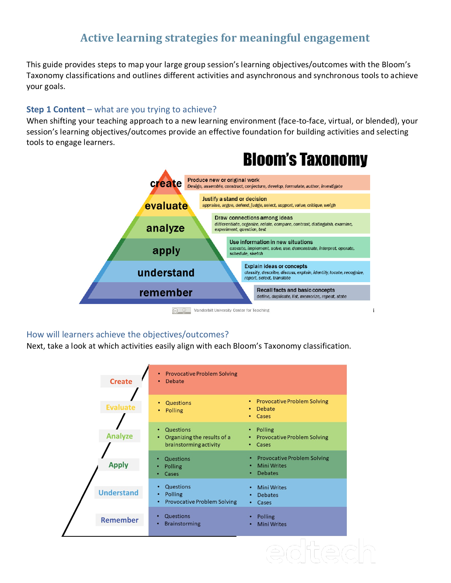# **Active learning strategies for meaningful engagement**

This guide provides steps to map your large group session's learning objectives/outcomes with the Bloom's Taxonomy classifications and outlines different activities and asynchronous and synchronous tools to achieve your goals.

## **Step 1 Content** – what are you trying to achieve?

When shifting your teaching approach to a new learning environment (face-to-face, virtual, or blended), your session's learning objectives/outcomes provide an effective foundation for building activities and selecting tools to engage learners.



#### How will learners achieve the objectives/outcomes?

Next, take a look at which activities easily align with each Bloom's Taxonomy classification.

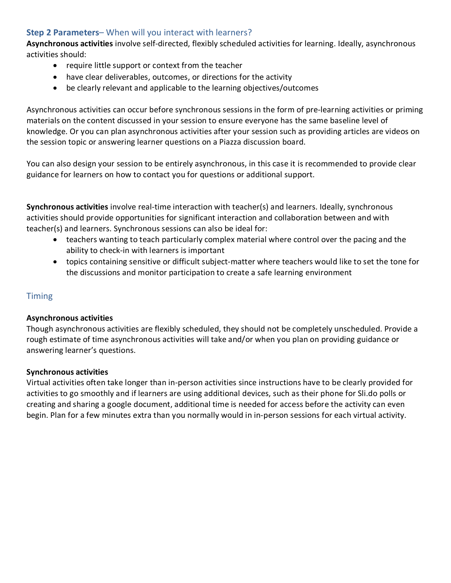## **Step 2 Parameters**– When will you interact with learners?

**Asynchronous activities** involve self-directed, flexibly scheduled activities for learning. Ideally, asynchronous activities should:

- require little support or context from the teacher
- have clear deliverables, outcomes, or directions for the activity
- be clearly relevant and applicable to the learning objectives/outcomes

Asynchronous activities can occur before synchronous sessions in the form of pre-learning activities or priming materials on the content discussed in your session to ensure everyone has the same baseline level of knowledge. Or you can plan asynchronous activities after your session such as providing articles are videos on the session topic or answering learner questions on a Piazza discussion board.

You can also design your session to be entirely asynchronous, in this case it is recommended to provide clear guidance for learners on how to contact you for questions or additional support.

**Synchronous activities** involve real-time interaction with teacher(s) and learners. Ideally, synchronous activities should provide opportunities for significant interaction and collaboration between and with teacher(s) and learners. Synchronous sessions can also be ideal for:

- teachers wanting to teach particularly complex material where control over the pacing and the ability to check-in with learners is important
- topics containing sensitive or difficult subject-matter where teachers would like to set the tone for the discussions and monitor participation to create a safe learning environment

## **Timing**

### **Asynchronous activities**

Though asynchronous activities are flexibly scheduled, they should not be completely unscheduled. Provide a rough estimate of time asynchronous activities will take and/or when you plan on providing guidance or answering learner's questions.

## **Synchronous activities**

Virtual activities often take longer than in-person activities since instructions have to be clearly provided for activities to go smoothly and if learners are using additional devices, such as their phone for Sli.do polls or creating and sharing a google document, additional time is needed for access before the activity can even begin. Plan for a few minutes extra than you normally would in in-person sessions for each virtual activity.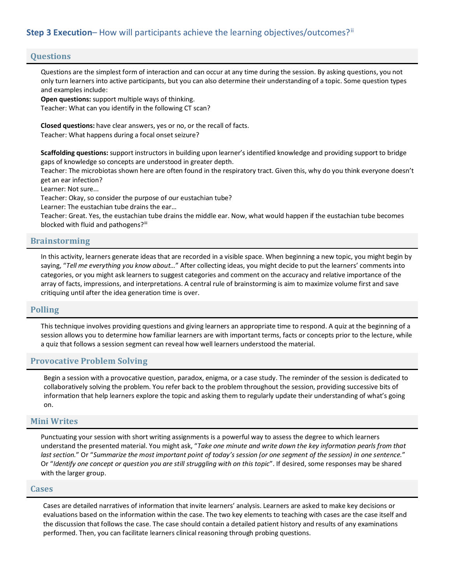## **Step 3 Execution–** How will participants achieve the learning objectives/outcomes?<sup>[ii](#page-5-1)</sup>

#### **Questions**

Questions are the simplest form of interaction and can occur at any time during the session. By asking questions, you not only turn learners into active participants, but you can also determine their understanding of a topic. Some question types and examples include:

**Open questions:** support multiple ways of thinking. Teacher: What can you identify in the following CT scan?

**Closed questions:** have clear answers, yes or no, or the recall of facts. Teacher: What happens during a focal onset seizure?

**Scaffolding questions:** support instructors in building upon learner's identified knowledge and providing support to bridge gaps of knowledge so concepts are understood in greater depth.

Teacher: The microbiotas shown here are often found in the respiratory tract. Given this, why do you think everyone doesn't get an ear infection?

Learner: Not sure...

Teacher: Okay, so consider the purpose of our eustachian tube?

Learner: The eustachian tube drains the ear…

Teacher: Great. Yes, the eustachian tube drains the middle ear. Now, what would happen if the eustachian tube becomes blocked with fluid and pathogens?<sup>[iii](#page-5-2)</sup>

#### **Brainstorming**

In this activity, learners generate ideas that are recorded in a visible space. When beginning a new topic, you might begin by saying, "*Tell me everything you know about…*" After collecting ideas, you might decide to put the learners' comments into categories, or you might ask learners to suggest categories and comment on the accuracy and relative importance of the array of facts, impressions, and interpretations. A central rule of brainstorming is aim to maximize volume first and save critiquing until after the idea generation time is over.

#### **Polling**

This technique involves providing questions and giving learners an appropriate time to respond. A quiz at the beginning of a session allows you to determine how familiar learners are with important terms, facts or concepts prior to the lecture, while a quiz that follows a session segment can reveal how well learners understood the material.

#### **Provocative Problem Solving**

Begin a session with a provocative question, paradox, enigma, or a case study. The reminder of the session is dedicated to collaboratively solving the problem. You refer back to the problem throughout the session, providing successive bits of information that help learners explore the topic and asking them to regularly update their understanding of what's going on.

#### **Mini Writes**

Punctuating your session with short writing assignments is a powerful way to assess the degree to which learners understand the presented material. You might ask, "*Take one minute and write down the key information pearls from that last section.*" Or "*Summarize the most important point of today's session (or one segment of the session) in one sentence.*" Or "*Identify one concept or question you are still struggling with on this topic*". If desired, some responses may be shared with the larger group.

#### **Cases**

Cases are detailed narratives of information that invite learners' analysis. Learners are asked to make key decisions or evaluations based on the information within the case. The two key elements to teaching with cases are the case itself and the discussion that follows the case. The case should contain a detailed patient history and results of any examinations performed. Then, you can facilitate learners clinical reasoning through probing questions.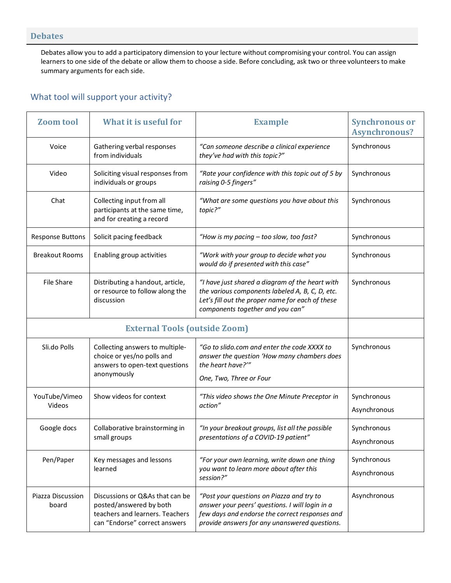### **Debates**

Debates allow you to add a participatory dimension to your lecture without compromising your control. You can assign learners to one side of the debate or allow them to choose a side. Before concluding, ask two or three volunteers to make summary arguments for each side.

## What tool will support your activity?

| <b>Zoom tool</b>           | What it is useful for                                                                                                          | <b>Example</b>                                                                                                                                                                                  | <b>Synchronous or</b><br><b>Asynchronous?</b> |  |
|----------------------------|--------------------------------------------------------------------------------------------------------------------------------|-------------------------------------------------------------------------------------------------------------------------------------------------------------------------------------------------|-----------------------------------------------|--|
| Voice                      | Gathering verbal responses<br>from individuals                                                                                 | "Can someone describe a clinical experience<br>they've had with this topic?"                                                                                                                    | Synchronous                                   |  |
| Video                      | Soliciting visual responses from<br>individuals or groups                                                                      | "Rate your confidence with this topic out of 5 by<br>raising 0-5 fingers"                                                                                                                       | Synchronous                                   |  |
| Chat                       | Collecting input from all<br>participants at the same time,<br>and for creating a record                                       | "What are some questions you have about this<br>topic?"                                                                                                                                         | Synchronous                                   |  |
| <b>Response Buttons</b>    | Solicit pacing feedback                                                                                                        | "How is my pacing - too slow, too fast?                                                                                                                                                         |                                               |  |
| <b>Breakout Rooms</b>      | Enabling group activities                                                                                                      | "Work with your group to decide what you<br>would do if presented with this case"                                                                                                               | Synchronous                                   |  |
| File Share                 | Distributing a handout, article,<br>or resource to follow along the<br>discussion                                              | Synchronous                                                                                                                                                                                     |                                               |  |
|                            |                                                                                                                                |                                                                                                                                                                                                 |                                               |  |
| Sli.do Polls               | Collecting answers to multiple-<br>choice or yes/no polls and<br>answers to open-text questions<br>anonymously                 | "Go to slido.com and enter the code XXXX to<br>answer the question 'How many chambers does<br>the heart have?"                                                                                  | Synchronous                                   |  |
|                            |                                                                                                                                | One, Two, Three or Four                                                                                                                                                                         |                                               |  |
| YouTube/Vimeo<br>Videos    | Show videos for context                                                                                                        | "This video shows the One Minute Preceptor in<br>action"                                                                                                                                        | Synchronous<br>Asynchronous                   |  |
| Google docs                | Collaborative brainstorming in<br>small groups                                                                                 | "In your breakout groups, list all the possible<br>presentations of a COVID-19 patient"                                                                                                         | Synchronous<br>Asynchronous                   |  |
| Pen/Paper                  | Key messages and lessons<br>learned                                                                                            | "For your own learning, write down one thing<br>you want to learn more about after this<br>session?"                                                                                            | Synchronous<br>Asynchronous                   |  |
| Piazza Discussion<br>board | Discussions or Q&As that can be<br>posted/answered by both<br>teachers and learners. Teachers<br>can "Endorse" correct answers | "Post your questions on Piazza and try to<br>answer your peers' questions. I will login in a<br>few days and endorse the correct responses and<br>provide answers for any unanswered questions. | Asynchronous                                  |  |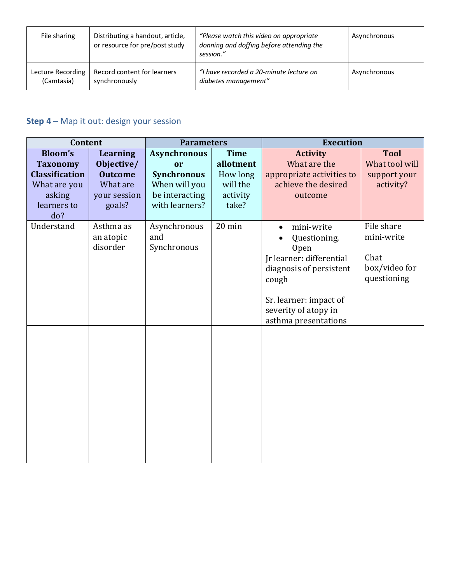| File sharing      | Distributing a handout, article,<br>or resource for pre/post study | "Please watch this video on appropriate"<br>donning and doffing before attending the<br>session." | Asynchronous |
|-------------------|--------------------------------------------------------------------|---------------------------------------------------------------------------------------------------|--------------|
| Lecture Recording | Record content for learners                                        | "I have recorded a 20-minute lecture on                                                           | Asynchronous |
| (Camtasia)        | synchronously                                                      | diabetes management"                                                                              |              |

## **Step 4** – Map it out: design your session

| Content                                                                                                    |                                                                                       | <b>Parameters</b>                                                                                    |                                                                       | <b>Execution</b>                                                                                                                                                             |                                                                  |
|------------------------------------------------------------------------------------------------------------|---------------------------------------------------------------------------------------|------------------------------------------------------------------------------------------------------|-----------------------------------------------------------------------|------------------------------------------------------------------------------------------------------------------------------------------------------------------------------|------------------------------------------------------------------|
| <b>Bloom's</b><br><b>Taxonomy</b><br><b>Classification</b><br>What are you<br>asking<br>learners to<br>do? | <b>Learning</b><br>Objective/<br><b>Outcome</b><br>What are<br>your session<br>goals? | <b>Asynchronous</b><br>or<br><b>Synchronous</b><br>When will you<br>be interacting<br>with learners? | <b>Time</b><br>allotment<br>How long<br>will the<br>activity<br>take? | <b>Activity</b><br>What are the<br>appropriate activities to<br>achieve the desired<br>outcome                                                                               | <b>Tool</b><br>What tool will<br>support your<br>activity?       |
| Understand                                                                                                 | Asthma as<br>an atopic<br>disorder                                                    | Asynchronous<br>and<br>Synchronous                                                                   | 20 min                                                                | mini-write<br>Questioning,<br>Open<br>Jr learner: differential<br>diagnosis of persistent<br>cough<br>Sr. learner: impact of<br>severity of atopy in<br>asthma presentations | File share<br>mini-write<br>Chat<br>box/video for<br>questioning |
|                                                                                                            |                                                                                       |                                                                                                      |                                                                       |                                                                                                                                                                              |                                                                  |